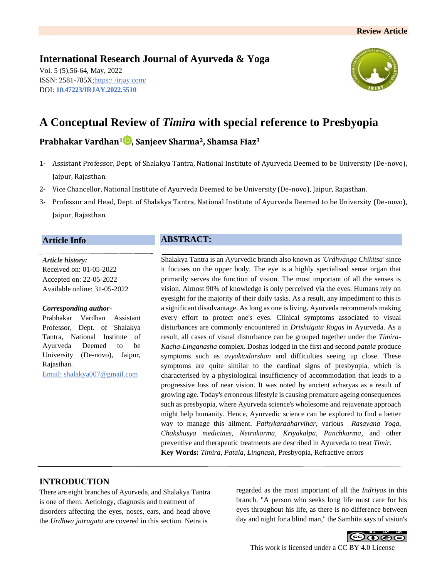## **International Research Journal of Ayurveda & Yoga**

Vol. 5 (5),56-64, May, 2022 ISSN: 2581-785X; https:/ [/irjay.com/](https://irjay.com/) DOI: **10.47223/IRJAY.2022.5510**



# **A Conceptual Review of** *Timira* **with special reference to Presbyopia**

## **Prabhakar Vardhan<sup>1</sup> , Sanjeev Sharma2, Shamsa Fiaz<sup>3</sup>**

- 1- Assistant Professor, Dept. of Shalakya Tantra, National Institute of Ayurveda Deemed to be University (De-novo), Jaipur, Rajasthan.
- 2- Vice Chancellor, National Institute of Ayurveda Deemed to be University (De-novo), Jaipur, Rajasthan.
- 3- Professor and Head, Dept. of Shalakya Tantra, National Institute of Ayurveda Deemed to be University (De-novo), Jaipur, Rajasthan.

## **Article Info**

*Article history:* Received on: 01-05-2022 Accepted on: 22-05-2022 Available online: 31-05-2022

#### *Corresponding author-*

Prabhakar Vardhan Assistant Professor, Dept. of Shalakya Tantra, National Institute of Ayurveda Deemed to be University (De-novo), Jaipur, Rajasthan.

Email: shalakya007@gmail.com

## **ABSTRACT:**

Shalakya Tantra is an Ayurvedic branch also known as *'Urdhvanga Chikitsa'* since it focuses on the upper body. The eye is a highly specialised sense organ that primarily serves the function of vision. The most important of all the senses is vision. Almost 90% of knowledge is only perceived via the eyes. Humans rely on eyesight for the majority of their daily tasks. As a result, any impediment to this is a significant disadvantage. As long as one is living, Ayurveda recommends making every effort to protect one's eyes. Clinical symptoms associated to visual disturbances are commonly encountered in *Drishtigata Rogas* in Ayurveda. As a result, all cases of visual disturbance can be grouped together under the *Timira-Kacha-Linganasha* complex. Doshas lodged in the first and second *patala* produce symptoms such as *avyaktadarshan* and difficulties seeing up close. These symptoms are quite similar to the cardinal signs of presbyopia, which is characterised by a physiological insufficiency of accommodation that leads to a progressive loss of near vision. It was noted by ancient acharyas as a result of growing age. Today's erroneous lifestyle is causing premature ageing consequences such as presbyopia, where Ayurveda science's wholesome and rejuvenate approach might help humanity. Hence, Ayurvedic science can be explored to find a better way to manage this ailment. *Pathykaraaharvihar*, various *Rasayana Yoga, Chakshusya medicines, Netrakarma, Kriyakalpa, Panchkarma*, and other preventive and therapeutic treatments are described in Ayurveda to treat *Timir.* **Key Words:** *Timira, Patala, Lingnash*, Presbyopia, Refractive errors

## **INTRODUCTION**

There are eight branches of Ayurveda, and Shalakya Tantra is one of them. Aetiology, diagnosis and treatment of disorders affecting the eyes, noses, ears, and head above the *Urdhwa jatrugata* are covered in this section. Netra is

regarded as the most important of all the *Indriyas* in this branch. "A person who seeks long life must care for his eyes throughout his life, as there is no difference between day and night for a blind man," the Samhita says of vision's

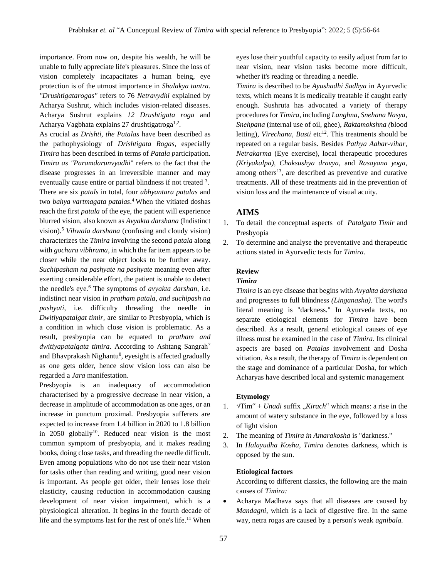importance. From now on, despite his wealth, he will be unable to fully appreciate life's pleasures. Since the loss of vision completely incapacitates a human being, eye protection is of the utmost importance in *Shalakya tantra. "Drushtigatarogas"* refers to 76 *Netravydhi* explained by Acharya Sushrut, which includes vision-related diseases. Acharya Sushrut explains *12 Drushtigata roga* and Acharya Vagbhata explains 27 drushtigatroga<sup>1,2</sup>.

As crucial as *Drishti, the Patalas* have been described as the pathophysiology of *Drishtigata Rogas,* especially *Timira* has been described in terms of *Patala p*articipation. *Timira as "Paramdarunvyadhi*" refers to the fact that the disease progresses in an irreversible manner and may eventually cause entire or partial blindness if not treated <sup>3</sup>. There are six *patals* in total, four *abhyantara patalas* and two *bahya vartmagata patalas*. <sup>4</sup>When the vitiated doshas reach the first *patala* of the eye, the patient will experience blurred vision, also known as *Avyakta darshana* (Indistinct vision).<sup>5</sup> *Vihwala darshana* (confusing and cloudy vision) characterizes the *Timira* involving the second *patala* along with *gochara vibhrama*, in which the far item appears to be closer while the near object looks to be further away. *Suchipasham na pashyate na pashyate* meaning even after exerting considerable effort, the patient is unable to detect the needle's eye.<sup>6</sup> The symptoms of *avyakta darshan*, i.e. indistinct near vision in *pratham patala, and suchipash na pashyati*, i.e. difficulty threading the needle in *Dwitiyapatalgat timir,* are similar to Presbyopia, which is a condition in which close vision is problematic. As a result, presbyopia can be equated to *pratham and dwitiyapatalgata timira.* According to Ashtang Sangrah<sup>7</sup> and Bhavprakash Nighantu<sup>8</sup>, eyesight is affected gradually as one gets older, hence slow vision loss can also be regarded a *Jara* manifestation.

Presbyopia is an inadequacy of accommodation characterised by a progressive decrease in near vision, a decrease in amplitude of accommodation as one ages, or an increase in punctum proximal. Presbyopia sufferers are expected to increase from 1.4 billion in 2020 to 1.8 billion in  $2050$  globally<sup>10</sup>. Reduced near vision is the most common symptom of presbyopia, and it makes reading books, doing close tasks, and threading the needle difficult. Even among populations who do not use their near vision for tasks other than reading and writing, good near vision is important. As people get older, their lenses lose their elasticity, causing reduction in accommodation causing development of near vision impairment, which is a physiological alteration. It begins in the fourth decade of life and the symptoms last for the rest of one's life.<sup>11</sup> When eyes lose their youthful capacity to easily adjust from far to near vision, near vision tasks become more difficult, whether it's reading or threading a needle.

*Timira* is described to be *Ayushadhi Sadhya* in Ayurvedic texts, which means it is medically treatable if caught early enough. Sushruta has advocated a variety of therapy procedures for *Timira*, including *Langhna, Snehana Nasya, Snehpana* (internal use of oil, ghee), *Raktamokshna (*blood letting), *Virechana, Basti* etc<sup>12</sup>. This treatments should be repeated on a regular basis. Besides *Pathya Aahar-vihar, Netrakarma* (Eye exercise), local therapeutic procedures *(Kriyakalpa), Chaksushya dravya,* and *Rasayana yoga*, among others<sup>13</sup>, are described as preventive and curative treatments. All of these treatments aid in the prevention of vision loss and the maintenance of visual acuity.

## **AIMS**

- 1. To detail the conceptual aspects of *Patalgata Timir* and Presbyopia
- 2. To determine and analyse the preventative and therapeutic actions stated in Ayurvedic texts for *Timira*.

#### **Review**

## *Timira*

*Timira* is an eye disease that begins with *Avyakta darshana* and progresses to full blindness *(Linganasha).* The word's literal meaning is "darkness." In Ayurveda texts, no separate etiological elements for *Timira* have been described. As a result, general etiological causes of eye illness must be examined in the case of *Timira*. Its clinical aspects are based on *Patalas* involvement and Dosha vitiation. As a result, the therapy of *Timira* is dependent on the stage and dominance of a particular Dosha, for which Acharyas have described local and systemic management

#### **Etymology**

- 1.  $\sqrt{\text{Tim}}^{\epsilon}$  + *Unadi* suffix *"Kirach*" which means: a rise in the amount of watery substance in the eye, followed by a loss of light vision
- 2. The meaning of *Timira in Amarakosha* is "darkness."
- 3. In *Halayudha Kosha, Timira* denotes darkness, which is opposed by the sun.

#### **Etiological factors**

According to different classics, the following are the main causes of *Timira:*

• Acharya Madhava says that all diseases are caused by *Mandagni*, which is a lack of digestive fire. In the same way, netra rogas are caused by a person's weak *agnibala.*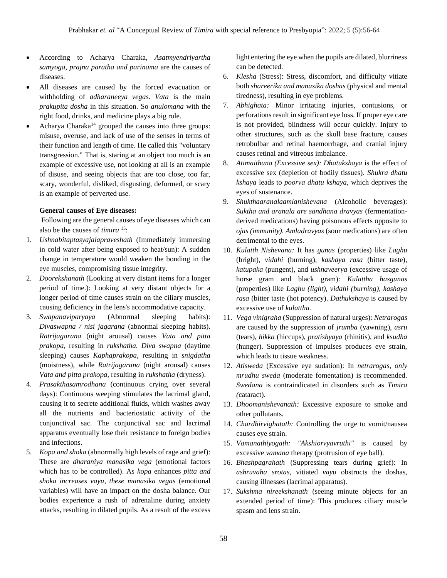- According to Acharya Charaka, *Asatmyendriyartha samyoga, prajna paratha and parinama* are the causes of diseases.
- All diseases are caused by the forced evacuation or withholding of *adharaneeya vegas. Vata* is the main *prakupita dosha* in this situation. So *anulomana* with the right food, drinks, and medicine plays a big role.
- Acharya Charaka<sup>14</sup> grouped the causes into three groups: misuse, overuse, and lack of use of the senses in terms of their function and length of time. He called this "voluntary transgression." That is, staring at an object too much is an example of excessive use, not looking at all is an example of disuse, and seeing objects that are too close, too far, scary, wonderful, disliked, disgusting, deformed, or scary is an example of perverted use.

#### **General causes of Eye diseases:**

Following are the general causes of eye diseases which can also be the causes of *timira* <sup>15</sup>:

- 1. *Ushnabitaptasyajalapraveshath* (Immediately immersing in cold water after being exposed to heat/sun): A sudden change in temperature would weaken the bonding in the eye muscles, compromising tissue integrity.
- 2. *Doorekshanath* (Looking at very distant items for a longer period of time.): Looking at very distant objects for a longer period of time causes strain on the ciliary muscles, causing deficiency in the lens's accommodative capacity.
- 3. *Swapanaviparyaya* (Abnormal sleeping habits): *Divaswapna / nisi jagarana* (abnormal sleeping habits). *Ratrijagarana* (night arousal) causes *Vata and pitta prakopa*, resulting in *rukshatha. Diva swapna* (daytime sleeping) causes *Kaphaprakopa*, resulting in *snigdatha*  (moistness), while *Ratrijagarana* (night arousal) causes *Vata and pitta prakopa,* resulting in *rukshatha* (dryness).
- 4. *Prasakthasamrodhana* (continuous crying over several days): Continuous weeping stimulates the lacrimal gland, causing it to secrete additional fluids, which washes away all the nutrients and bacteriostatic activity of the conjunctival sac. The conjunctival sac and lacrimal apparatus eventually lose their resistance to foreign bodies and infections.
- 5. *Kopa and shoka* (abnormally high levels of rage and grief): These are *dharaniya manasika vega* (emotional factors which has to be controlled). As *kopa* enhances *pitta and shoka increases vayu, these manasika vegas* (emotional variables) will have an impact on the dosha balance. Our bodies experience a rush of adrenaline during anxiety attacks, resulting in dilated pupils. As a result of the excess

light entering the eye when the pupils are dilated, blurriness can be detected.

- 6. *Klesha* (Stress): Stress, discomfort, and difficulty vitiate both *shareerika and manasika doshas* (physical and mental tiredness), resulting in eye problems.
- 7. *Abhighata:* Minor irritating injuries, contusions, or perforations result in significant eye loss. If proper eye care is not provided, blindness will occur quickly. Injury to other structures, such as the skull base fracture, causes retrobulbar and retinal haemorrhage, and cranial injury causes retinal and vitreous imbalance.
- 8. *Atimaithuna (Excessive sex): Dhatukshaya* is the effect of excessive sex (depletion of bodily tissues). *Shukra dhatu kshaya* leads to *poorva dhatu kshaya,* which deprives the eyes of sustenance.
- 9. *Shukthaaranalaamlanishevana* (Alcoholic beverages): *Suktha and aranala are sandhana dravyas* (fermentationderived medications) having poisonous effects opposite to *ojas (immunity). Amladravyas* (sour medications) are often detrimental to the eyes.
- 10. *Kulatth Nishevana:* It has *gunas* (properties) like *Laghu* (bright), *vidahi* (burning), *kashaya rasa* (bitter taste), *katupaka* (pungent), and *ushnaveerya* (excessive usage of horse gram and black gram): *Kulattha hasgunas* (properties) like *Laghu (light), vidahi (burning), kashaya rasa* (bitter taste (hot potency). *Dathukshaya* is caused by excessive use of *kulattha.*
- 11. *Vega vinigraha* (Suppression of natural urges): *Netrarogas* are caused by the suppression of *jrumba* (yawning), *asru*  (tears), *hikka* (hiccups), *pratishyaya* (rhinitis), and *ksudha*  (hunger). Suppression of impulses produces eye strain, which leads to tissue weakness.
- 12. *Atisweda* (Excessive eye sudation): In *netrarogas, only mrudhu sweda* (moderate fomentation) is recommended. *Swedana* is contraindicated in disorders such as *Timira (*cataract).
- 13. *Dhoomanishevanath:* Excessive exposure to smoke and other pollutants.
- 14. *Chardhirvighatath:* Controlling the urge to vomit/nausea causes eye strain.
- 15. *Vamanathiyogath: "Akshiorvyavruthi"* is caused by excessive *vamana* therapy (protrusion of eye ball).
- 16. *Bhashpagrahath* (Suppressing tears during grief): In *ashruvaha srotas*, vitiated *vayu* obstructs the doshas, causing illnesses (lacrimal apparatus).
- 17. *Sukshma nireekshanath* (seeing minute objects for an extended period of time): This produces ciliary muscle spasm and lens strain.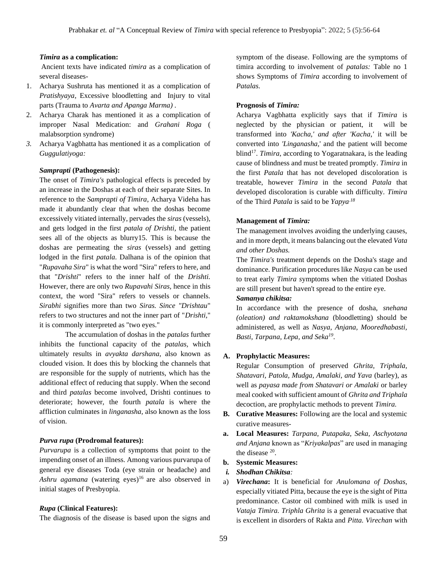#### *Timira* **as a complication:**

Ancient texts have indicated *timira* as a complication of several diseases-

- 1. Acharya Sushruta has mentioned it as a complication of *Pratishyaya,* Excessive bloodletting and Injury to vital parts (Trauma to *Avarta and Apanga Marma) .*
- 2. Acharya Charak has mentioned it as a complication of improper Nasal Medication: and *Grahani Roga* ( malabsorption syndrome)
- *3.* Acharya Vagbhatta has mentioned it as a complication of *Guggulatiyoga:*

#### *Samprapti* **(Pathogenesis):**

The onset of *Timira's* pathological effects is preceded by an increase in the Doshas at each of their separate Sites. In reference to the *Samprapti of Timira*, Acharya Videha has made it abundantly clear that when the doshas become excessively vitiated internally, pervades the *siras* (vessels), and gets lodged in the first *patala of Drishti,* the patient sees all of the objects as blurry15. This is because the doshas are permeating the *siras* (vessels) and getting lodged in the first *patala*. Dalhana is of the opinion that "*Rupavaha Sira*" is what the word "Sira" refers to here, and that "*Drishti*" refers to the inner half of the *Drishti.* However, there are only two *Rupavahi Siras,* hence in this context, the word "Sira" refers to vessels or channels. *Sirabhi* signifies more than two *Siras. Since "Drishtau*" refers to two structures and not the inner part of "*Drishti,*" it is commonly interpreted as "two eyes."

The accumulation of doshas in the *patalas* further inhibits the functional capacity of the *patalas,* which ultimately results in *avyakta darshana*, also known as clouded vision. It does this by blocking the channels that are responsible for the supply of nutrients, which has the additional effect of reducing that supply. When the second and third *patalas* become involved, Drishti continues to deteriorate; however, the fourth *patala* is where the affliction culminates in *linganasha,* also known as the loss of vision.

#### *Purva rupa* **(Prodromal features):**

*Purvarupa* is a collection of symptoms that point to the impending onset of an illness. Among various purvarupa of general eye diseases Toda (eye strain or headache) and *Ashru agamana* (watering eyes)<sup>16</sup> are also observed in initial stages of Presbyopia.

#### *Rupa* **(Clinical Features):**

The diagnosis of the disease is based upon the signs and

symptom of the disease. Following are the symptoms of timira according to involvement of *patalas:* Table no 1 shows Symptoms of *Timira* according to involvement of *Patalas.*

#### **Prognosis of** *Timira:*

Acharya Vagbhatta explicitly says that if *Timira* is neglected by the physician or patient, it will be transformed into *'Kacha,' and after 'Kacha,'* it will be converted into *'Linganasha,*' and the patient will become blind<sup>17</sup>. *Timira*, according to Yogaratnakara, is the leading cause of blindness and must be treated promptly. *Timira* in the first *Patala* that has not developed discoloration is treatable, however *Timira* in the second *Patala* that developed discoloration is curable with difficulty. *Timira*  of the Third *Patala* is said to be *Yapya.18*

#### **Management of** *Timira:*

The management involves avoiding the underlying causes, and in more depth, it means balancing out the elevated *Vata and other Doshas.*

The *Timira's* treatment depends on the Dosha's stage and dominance. Purification procedures like *Nasya* can be used to treat early *Timira s*ymptoms when the vitiated Doshas are still present but haven't spread to the entire eye. *Samanya chikitsa:* 

In accordance with the presence of dosha, *snehana (oleation) and raktamokshana* (bloodletting) should be administered, as well as *Nasya, Anjana, Mooredhabasti, Basti, Tarpana, Lepa, and Seka<sup>19</sup>* .

#### **A. Prophylactic Measures:**

Regular Consumption of preserved *Ghrita, Triphala, Shatavari, Patola, Mudga, Amalaki, and Yava* (barley), as well as *payasa made from Shatavari or Amalaki* or barley meal cooked with sufficient amount of *Ghrita and Triphala* decoction, are prophylactic methods to prevent *Timira.* 

- **B. Curative Measures:** Following are the local and systemic curative measures-
- **a. Local Measures:** *Tarpana, Putapaka, Seka, Aschyotana and Anjana* known as "*Kriyakalpas*" are used in managing the disease  $20$ .

#### **b. Systemic Measures:**

#### *i. Shodhan Chikitsa:*

a) *Virechana***:** It is beneficial for *Anulomana of Doshas*, especially vitiated Pitta, because the eye is the sight of Pitta predominance. Castor oil combined with milk is used in *Vataja Timira. Triphla Ghrita* is a general evacuative that is excellent in disorders of Rakta and *Pitta. Virechan* with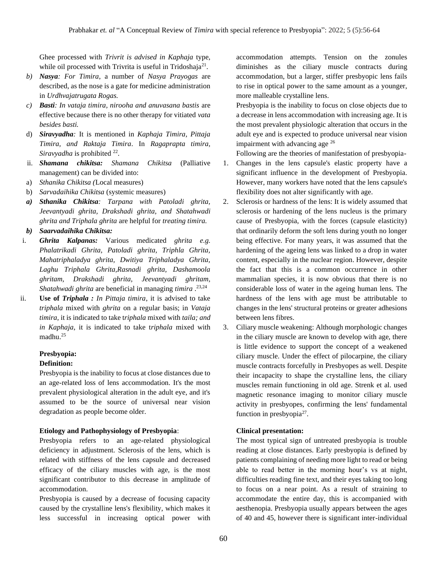Ghee processed with *Trivrit is advised in Kaphaja* type, while oil processed with Trivrita is useful in Tridoshaja<sup>21</sup>.

- *b) Nasya: For Timira*, a number of *Nasya Prayogas* are described, as the nose is a gate for medicine administration in *Urdhvajatrugata Rogas.*
- *c) Basti: In vataja timira, nirooha and anuvasana bastis* are effective because there is no other therapy for vitiated *vata besides basti.*
- d) *Siravyadha:* It is mentioned in *Kaphaja Timira, Pittaja Timira, and Raktaja Timira*. In *Ragaprapta timira,*  Siravyadha is prohibited <sup>22</sup>.
- ii. *Shamana chikitsa: Shamana Chikitsa* (Palliative management) can be divided into:
- a) *Sthanika Chikitsa (*Local measures)
- b) *Sarvadaihika Chikitsa* (systemic measures)
- *a) Sthanika Chikitsa: Tarpana with Patoladi ghrita, Jeevantyadi ghrita, Drakshadi ghrita, and Shatahwadi ghrita and Triphala ghrita* are helpful for *treating timira.*

*b) Saarvadaihika Chikitsa:*

- i. *Ghrita Kalpanas:* Various medicated *ghrita e.g. Phalatrikadi Ghrita, Patoladi ghrita, Triphla Ghrita, Mahatriphaladya ghrita, Dwitiya Triphaladya Ghrita, Laghu Triphala Ghrita,Rasnadi ghrita, Dashamoola ghritam, Drakshadi ghrita, Jeevantyadi ghritam, Shatahwadi ghrita* are beneficial in managing *timira* . 23,24
- ii. **Use of** *Triphala : In Pittaja timira*, it is advised to take *triphala* mixed with *ghrita* on a regular basis; in *Vataja timira,* it is indicated to take t*riphala* mixed with *taila; and in Kaphaja*, it is indicated to take t*riphala* mixed with madhu.<sup>25</sup>

#### **Presbyopia:**

#### **Definition:**

Presbyopia is the inability to focus at close distances due to an age-related loss of lens accommodation. It's the most prevalent physiological alteration in the adult eye, and it's assumed to be the source of universal near vision degradation as people become older.

#### **Etiology and Pathophysiology of Presbyopia**:

Presbyopia refers to an age-related physiological deficiency in adjustment. Sclerosis of the lens, which is related with stiffness of the lens capsule and decreased efficacy of the ciliary muscles with age, is the most significant contributor to this decrease in amplitude of accommodation.

Presbyopia is caused by a decrease of focusing capacity caused by the crystalline lens's flexibility, which makes it less successful in increasing optical power with

accommodation attempts. Tension on the zonules diminishes as the ciliary muscle contracts during accommodation, but a larger, stiffer presbyopic lens fails to rise in optical power to the same amount as a younger, more malleable crystalline lens.

Presbyopia is the inability to focus on close objects due to a decrease in lens accommodation with increasing age. It is the most prevalent physiologic alteration that occurs in the adult eye and is expected to produce universal near vision impairment with advancing age <sup>26</sup>

Following are the theories of manifestation of presbyopia-

- 1. Changes in the lens capsule's elastic property have a significant influence in the development of Presbyopia. However, many workers have noted that the lens capsule's flexibility does not alter significantly with age.
- 2. Sclerosis or hardness of the lens: It is widely assumed that sclerosis or hardening of the lens nucleus is the primary cause of Presbyopia, with the forces (capsule elasticity) that ordinarily deform the soft lens during youth no longer being effective. For many years, it was assumed that the hardening of the ageing lens was linked to a drop in water content, especially in the nuclear region. However, despite the fact that this is a common occurrence in other mammalian species, it is now obvious that there is no considerable loss of water in the ageing human lens. The hardness of the lens with age must be attributable to changes in the lens' structural proteins or greater adhesions between lens fibres.
- 3. Ciliary muscle weakening: Although morphologic changes in the ciliary muscle are known to develop with age, there is little evidence to support the concept of a weakened ciliary muscle. Under the effect of pilocarpine, the ciliary muscle contracts forcefully in Presbyopes as well. Despite their incapacity to shape the crystalline lens, the ciliary muscles remain functioning in old age. Strenk et al. used magnetic resonance imaging to monitor ciliary muscle activity in presbyopes, confirming the lens' fundamental function in presbyopia<sup>27</sup>.

#### **Clinical presentation:**

The most typical sign of untreated presbyopia is trouble reading at close distances. Early presbyopia is defined by patients complaining of needing more light to read or being able to read better in the morning hour's vs at night, difficulties reading fine text, and their eyes taking too long to focus on a near point. As a result of straining to accommodate the entire day, this is accompanied with aesthenopia. Presbyopia usually appears between the ages of 40 and 45, however there is significant inter-individual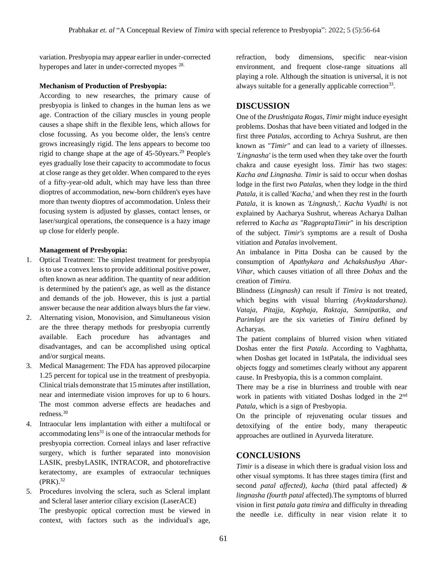variation. Presbyopia may appear earlier in under-corrected hyperopes and later in under-corrected myopes 28.

#### **Mechanism of Production of Presbyopia:**

According to new researches, the primary cause of presbyopia is linked to changes in the human lens as we age. Contraction of the ciliary muscles in young people causes a shape shift in the flexible lens, which allows for close focussing. As you become older, the lens's centre grows increasingly rigid. The lens appears to become too rigid to change shape at the age of 45-50years.<sup>29</sup> People's eyes gradually lose their capacity to accommodate to focus at close range as they get older. When compared to the eyes of a fifty-year-old adult, which may have less than three dioptres of accommodation, new-born children's eyes have more than twenty dioptres of accommodation. Unless their focusing system is adjusted by glasses, contact lenses, or laser/surgical operations, the consequence is a hazy image up close for elderly people.

#### **Management of Presbyopia:**

- 1. Optical Treatment: The simplest treatment for presbyopia is to use a convex lens to provide additional positive power, often known as near addition. The quantity of near addition is determined by the patient's age, as well as the distance and demands of the job. However, this is just a partial answer because the near addition always blurs the far view.
- 2. Alternating vision, Monovision, and Simultaneous vision are the three therapy methods for presbyopia currently available. Each procedure has advantages and disadvantages, and can be accomplished using optical and/or surgical means.
- 3. Medical Management: The FDA has approved pilocarpine 1.25 percent for topical use in the treatment of presbyopia. Clinical trials demonstrate that 15 minutes after instillation, near and intermediate vision improves for up to 6 hours. The most common adverse effects are headaches and redness.<sup>30</sup>
- 4. Intraocular lens implantation with either a multifocal or accommodating  $lens<sup>31</sup>$  is one of the intraocular methods for presbyopia correction. Corneal inlays and laser refractive surgery, which is further separated into monovision LASIK, presbyLASIK, INTRACOR, and photorefractive keratectomy, are examples of extraocular techniques  $(PRK).$ <sup>32</sup>
- 5. Procedures involving the sclera, such as Scleral implant and Scleral laser anterior ciliary excision (LaserACE) The presbyopic optical correction must be viewed in context, with factors such as the individual's age,

refraction, body dimensions, specific near-vision environment, and frequent close-range situations all playing a role. Although the situation is universal, it is not always suitable for a generally applicable correction<sup>33</sup>.

## **DISCUSSION**

One of the *Drushtigata Rogas, Timir* might induce eyesight problems. Doshas that have been vitiated and lodged in the first three *Patalas,* according to Achrya Sushrut, are then known as "*Timir"* and can lead to a variety of illnesses. *'Lingnasha'* is the term used when they take over the fourth chakra and cause eyesight loss. *Timir* has two stages: *Kacha and Lingnasha. Timir* is said to occur when doshas lodge in the first two *Patalas,* when they lodge in the third *Patala,* it is called '*Kacha*,' and when they rest in the fourth *Patala,* it is known as *'Lingnash,'. Kacha Vyadhi* is not explained by Aacharya Sushrut, whereas Acharya Dalhan referred to *Kacha as "RagpraptaTimir*" in his description of the subject. *Timir's* symptoms are a result of Dosha vitiation and *Patalas* involvement.

An imbalance in Pitta Dosha can be caused by the consumption of *Apathykara and Achakshushya Ahar-Vihar*, which causes vitiation of all three *Dohas* and the creation of *Timira.*

Blindness (*Lingnash)* can result if *Timira* is not treated, which begins with visual blurring *(Avyktadarshana). Vataja, Pitajja, Kaphaja, Raktaja, Sannipatika, and Parimlayi* are the six varieties of *Timira* defined by Acharyas.

The patient complains of blurred vision when vitiated Doshas enter the first *Patala.* According to Vagbhatta, when Doshas get located in 1stPatala, the individual sees objects foggy and sometimes clearly without any apparent cause. In Presbyopia, this is a common complaint.

There may be a rise in blurriness and trouble with near work in patients with vitiated Doshas lodged in the 2nd *Patala,* which is a sign of Presbyopia.

On the principle of rejuvenating ocular tissues and detoxifying of the entire body, many therapeutic approaches are outlined in Ayurveda literature.

### **CONCLUSIONS**

*Timir* is a disease in which there is gradual vision loss and other visual symptoms. It has three stages timira (first and second *patal affected), kacha* (third patal affected) *& lingnasha (fourth patal* affected).The symptoms of blurred vision in first *patala gata timira* and difficulty in threading the needle i.e. difficulty in near vision relate it to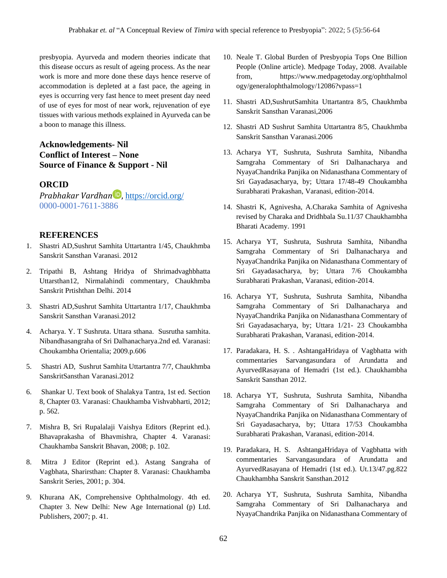presbyopia. Ayurveda and modern theories indicate that this disease occurs as result of ageing process. As the near work is more and more done these days hence reserve of accommodation is depleted at a fast pace, the ageing in eyes is occurring very fast hence to meet present day need of use of eyes for most of near work, rejuvenation of eye tissues with various methods explained in Ayurveda can be a boon to manage this illness.

## **Acknowledgements- Nil Conflict of Interest – None Source of Finance & Support - Nil**

## **ORCID**

*Prabhakar Vardhan* , <https://orcid.org/> 0000-0001-7611-3886

### **REFERENCES**

- 1. Shastri AD,Sushrut Samhita Uttartantra 1/45, Chaukhmba Sanskrit Sansthan Varanasi. 2012
- 2. Tripathi B, Ashtang Hridya of Shrimadvaghbhatta Uttarsthan12, Nirmalahindi commentary, Chaukhmba Sanskrit Prtishthan Delhi. 2014
- 3. Shastri AD,Sushrut Samhita Uttartantra 1/17, Chaukhmba Sanskrit Sansthan Varanasi.2012
- 4. Acharya. Y. T Sushruta. Uttara sthana. Susrutha samhita. Nibandhasangraha of Sri Dalhanacharya.2nd ed. Varanasi: Choukambha Orientalia; 2009.p.606
- 5. Shastri AD, Sushrut Samhita Uttartantra 7/7, Chaukhmba SanskritSansthan Varanasi.2012
- 6. Shankar U. Text book of Shalakya Tantra, 1st ed. Section 8, Chapter 03. Varanasi: Chaukhamba Vishvabharti, 2012; p. 562.
- 7. Mishra B, Sri Rupalalaji Vaishya Editors (Reprint ed.). Bhavaprakasha of Bhavmishra, Chapter 4. Varanasi: Chaukhamba Sanskrit Bhavan, 2008; p. 102.
- 8. Mitra J Editor (Reprint ed.). Astang Sangraha of Vagbhata, Sharirsthan: Chapter 8. Varanasi: Chaukhamba Sanskrit Series, 2001; p. 304.
- 9. Khurana AK, Comprehensive Ophthalmology. 4th ed. Chapter 3. New Delhi: New Age International (p) Ltd. Publishers, 2007; p. 41.
- 10. Neale T. Global Burden of Presbyopia Tops One Billion People (Online article). Medpage Today, 2008. Available from, https://www.medpagetoday.org/ophthalmol ogy/generalophthalmology/12086?vpass=1
- 11. Shastri AD,SushrutSamhita Uttartantra 8/5, Chaukhmba Sanskrit Sansthan Varanasi,2006
- 12. Shastri AD Sushrut Samhita Uttartantra 8/5, Chaukhmba Sanskrit Sansthan Varanasi.2006
- 13. Acharya YT, Sushruta, Sushruta Samhita, Nibandha Samgraha Commentary of Sri Dalhanacharya and NyayaChandrika Panjika on Nidanasthana Commentary of Sri Gayadasacharya, by; Uttara 17/48-49 Choukambha Surabharati Prakashan, Varanasi, edition-2014.
- 14. Shastri K, Agnivesha, A.Charaka Samhita of Agnivesha revised by Charaka and Dridhbala Su.11/37 Chaukhambha Bharati Academy. 1991
- 15. Acharya YT, Sushruta, Sushruta Samhita, Nibandha Samgraha Commentary of Sri Dalhanacharya and NyayaChandrika Panjika on Nidanasthana Commentary of Sri Gayadasacharya, by; Uttara 7/6 Choukambha Surabharati Prakashan, Varanasi, edition-2014.
- 16. Acharya YT, Sushruta, Sushruta Samhita, Nibandha Samgraha Commentary of Sri Dalhanacharya and NyayaChandrika Panjika on Nidanasthana Commentary of Sri Gayadasacharya, by; Uttara 1/21- 23 Choukambha Surabharati Prakashan, Varanasi, edition-2014.
- 17. Paradakara, H. S. . AshtangaHridaya of Vagbhatta with commentaries Sarvangasundara of Arundatta and AyurvedRasayana of Hemadri (1st ed.). Chaukhambha Sanskrit Sansthan 2012.
- 18. Acharya YT, Sushruta, Sushruta Samhita, Nibandha Samgraha Commentary of Sri Dalhanacharya and NyayaChandrika Panjika on Nidanasthana Commentary of Sri Gayadasacharya, by; Uttara 17/53 Choukambha Surabharati Prakashan, Varanasi, edition-2014.
- 19. Paradakara, H. S. AshtangaHridaya of Vagbhatta with commentaries Sarvangasundara of Arundatta and AyurvedRasayana of Hemadri (1st ed.). Ut.13/47.pg.822 Chaukhambha Sanskrit Sansthan.2012
- 20. Acharya YT, Sushruta, Sushruta Samhita, Nibandha Samgraha Commentary of Sri Dalhanacharya and NyayaChandrika Panjika on Nidanasthana Commentary of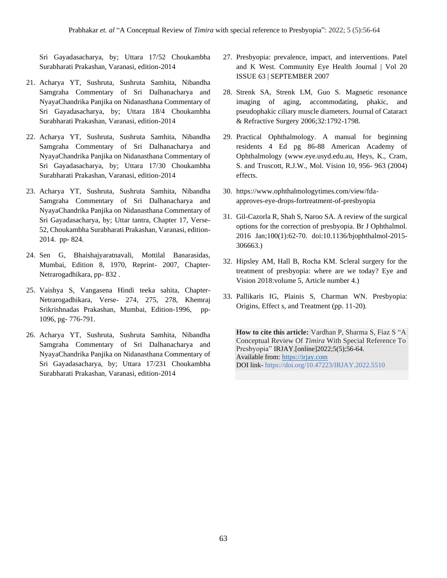Sri Gayadasacharya, by; Uttara 17/52 Choukambha Surabharati Prakashan, Varanasi, edition-2014

- 21. Acharya YT, Sushruta, Sushruta Samhita, Nibandha Samgraha Commentary of Sri Dalhanacharya and NyayaChandrika Panjika on Nidanasthana Commentary of Sri Gayadasacharya, by; Uttara 18/4 Choukambha Surabharati Prakashan, Varanasi, edition-2014
- 22. Acharya YT, Sushruta, Sushruta Samhita, Nibandha Samgraha Commentary of Sri Dalhanacharya and NyayaChandrika Panjika on Nidanasthana Commentary of Sri Gayadasacharya, by; Uttara 17/30 Choukambha Surabharati Prakashan, Varanasi, edition-2014
- 23. Acharya YT, Sushruta, Sushruta Samhita, Nibandha Samgraha Commentary of Sri Dalhanacharya and NyayaChandrika Panjika on Nidanasthana Commentary of Sri Gayadasacharya, by; Uttar tantra, Chapter 17, Verse-52, Choukambha Surabharati Prakashan, Varanasi, edition-2014. pp- 824.
- 24. Sen G, Bhaishajyaratnavali, Mottilal Banarasidas, Mumbai, Edition 8, 1970, Reprint- 2007, Chapter-Netrarogadhikara, pp- 832 .
- 25. Vaishya S, Vangasena Hindi teeka sahita, Chapter-Netrarogadhikara, Verse- 274, 275, 278, Khemraj Srikrishnadas Prakashan, Mumbai, Edition-1996, pp-1096, pg- 776-791.
- 26. Acharya YT, Sushruta, Sushruta Samhita, Nibandha Samgraha Commentary of Sri Dalhanacharya and NyayaChandrika Panjika on Nidanasthana Commentary of Sri Gayadasacharya, by; Uttara 17/231 Choukambha Surabharati Prakashan, Varanasi, edition-2014
- 27. Presbyopia: prevalence, impact, and interventions. Patel and K West. Community Eye Health Journal | Vol 20 ISSUE 63 | SEPTEMBER 2007
- 28. Strenk SA, Strenk LM, Guo S. Magnetic resonance imaging of aging, accommodating, phakic, and pseudophakic ciliary muscle diameters. Journal of Cataract & Refractive Surgery 2006;32:1792-1798.
- 29. Practical Ophthalmology. A manual for beginning residents 4 Ed pg 86-88 American Academy of Ophthalmology (www.eye.usyd.edu.au, Heys, K., Cram, S. and Truscott, R.J.W., Mol. Vision 10, 956- 963 (2004) effects.
- 30. https://www.ophthalmologytimes.com/view/fdaapproves-eye-drops-fortreatment-of-presbyopia
- 31. Gil-Cazorla R, Shah S, Naroo SA. A review of the surgical options for the correction of presbyopia. Br J Ophthalmol. 2016 Jan;100(1):62-70. doi:10.1136/bjophthalmol-2015- 306663.)
- 32. Hipsley AM, Hall B, Rocha KM. Scleral surgery for the treatment of presbyopia: where are we today? Eye and Vision 2018:volume 5, Article number 4.)
- 33. Pallikaris IG, Plainis S, Charman WN. Presbyopia: Origins, Effect s, and Treatment (pp. 11-20).

**How to cite this article:** Vardhan P, Sharma S, Fiaz S "A Conceptual Review Of *Timira* With Special Reference To Presbyopia" IRJAY.[online]2022;5(5);56-64. Available from[: https://irjay.com](https://irjay.com/) DOI link- https://doi.org/10.47223/IRJAY.2022.5510